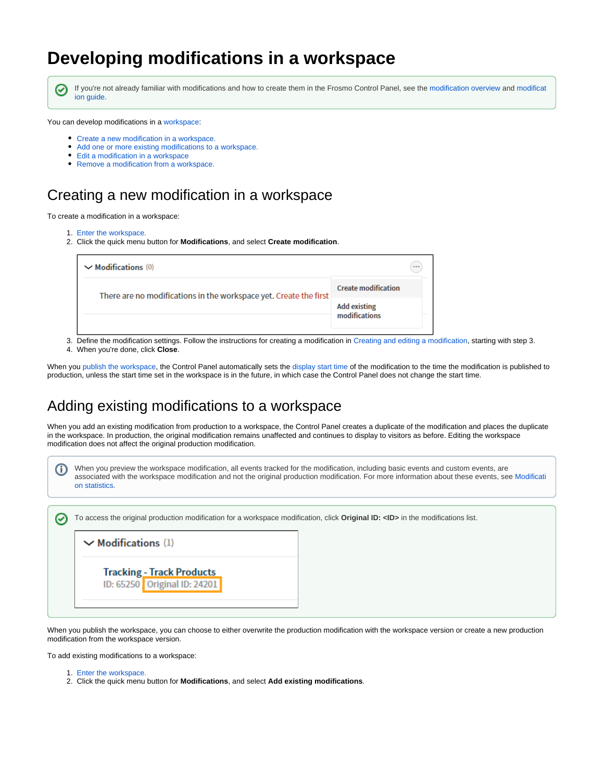# **Developing modifications in a workspace**

☑

If you're not already familiar with modifications and how to create them in the Frosmo Control Panel, see the [modification overview](https://docs.frosmo.com/display/platform/Feature%3A+Modification) and [modificat](https://docs.frosmo.com/display/ui/Modifications) [ion guide](https://docs.frosmo.com/display/ui/Modifications).

You can develop modifications in a [workspace:](https://docs.frosmo.com/display/platform/Feature%3A+Workspace)

- [Create a new modification in a workspace.](#page-0-0)
- [Add one or more existing modifications to a workspace.](#page-0-1)
- [Edit a modification in a workspace](#page-1-0)
- [Remove a modification from a workspace.](#page-1-1)

### <span id="page-0-0"></span>Creating a new modification in a workspace

To create a modification in a workspace:

- 1. [Enter the workspace.](https://docs.frosmo.com/display/ui/Entering+a+workspace)
- 2. Click the quick menu button for **Modifications**, and select **Create modification**.

| $\vee$ Modifications (0)                                          |                                      | $-0.000$ |
|-------------------------------------------------------------------|--------------------------------------|----------|
| There are no modifications in the workspace yet. Create the first | <b>Create modification</b>           |          |
|                                                                   | <b>Add existing</b><br>modifications |          |

- 3. Define the modification settings. Follow the instructions for creating a modification in [Creating and editing a modification](https://docs.frosmo.com/display/ui/Creating+and+editing+a+modification#Creatingandeditingamodification-Creatingamodification), starting with step 3.
- 4. When you're done, click **Close**.

When you [publish the workspace](https://docs.frosmo.com/display/ui/Publishing+a+workspace), the Control Panel automatically sets the [display start time](https://docs.frosmo.com/display/ui/Defining+the+schedule+for+a+modification) of the modification to the time the modification is published to production, unless the start time set in the workspace is in the future, in which case the Control Panel does not change the start time.

## <span id="page-0-1"></span>Adding existing modifications to a workspace

When you add an existing modification from production to a workspace, the Control Panel creates a duplicate of the modification and places the duplicate in the workspace. In production, the original modification remains unaffected and continues to display to visitors as before. Editing the workspace modification does not affect the original production modification.

| When you preview the workspace modification, all events tracked for the modification, including basic events and custom events, are<br>associated with the workspace modification and not the original production modification. For more information about these events, see Modificati<br>on statistics. |  |  |
|-----------------------------------------------------------------------------------------------------------------------------------------------------------------------------------------------------------------------------------------------------------------------------------------------------------|--|--|
| To access the original production modification for a workspace modification, click <b>Original ID: <id></id></b> in the modifications list.<br>$\vee$ Modifications (1)<br><b>Tracking - Track Products</b><br>ID: 65250   Original ID: 24201                                                             |  |  |

When you publish the workspace, you can choose to either overwrite the production modification with the workspace version or create a new production modification from the workspace version.

To add existing modifications to a workspace:

- 1. [Enter the workspace.](https://docs.frosmo.com/display/ui/Entering+a+workspace)
- 2. Click the quick menu button for **Modifications**, and select **Add existing modifications**.